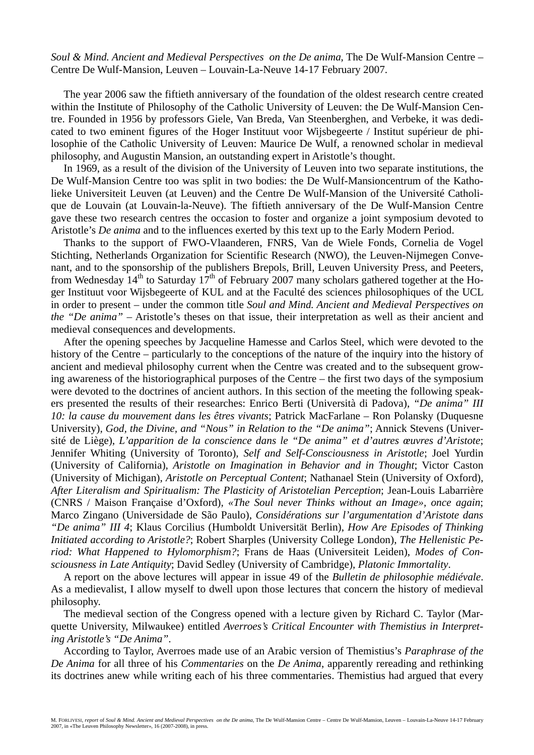*Soul & Mind. Ancient and Medieval Perspectives on the De anima*, The De Wulf-Mansion Centre – Centre De Wulf-Mansion, Leuven – Louvain-La-Neuve 14-17 February 2007.

The year 2006 saw the fiftieth anniversary of the foundation of the oldest research centre created within the Institute of Philosophy of the Catholic University of Leuven: the De Wulf-Mansion Centre. Founded in 1956 by professors Giele, Van Breda, Van Steenberghen, and Verbeke, it was dedicated to two eminent figures of the Hoger Instituut voor Wijsbegeerte / Institut supérieur de philosophie of the Catholic University of Leuven: Maurice De Wulf, a renowned scholar in medieval philosophy, and Augustin Mansion, an outstanding expert in Aristotle's thought.

In 1969, as a result of the division of the University of Leuven into two separate institutions, the De Wulf-Mansion Centre too was split in two bodies: the De Wulf-Mansioncentrum of the Katholieke Universiteit Leuven (at Leuven) and the Centre De Wulf-Mansion of the Université Catholique de Louvain (at Louvain-la-Neuve). The fiftieth anniversary of the De Wulf-Mansion Centre gave these two research centres the occasion to foster and organize a joint symposium devoted to Aristotle's *De anima* and to the influences exerted by this text up to the Early Modern Period.

Thanks to the support of FWO-Vlaanderen, FNRS, Van de Wiele Fonds, Cornelia de Vogel Stichting, Netherlands Organization for Scientific Research (NWO), the Leuven-Nijmegen Convenant, and to the sponsorship of the publishers Brepols, Brill, Leuven University Press, and Peeters, from Wednesday  $14<sup>th</sup>$  to Saturday  $17<sup>th</sup>$  of February 2007 many scholars gathered together at the Hoger Instituut voor Wijsbegeerte of KUL and at the Faculté des sciences philosophiques of the UCL in order to present – under the common title *Soul and Mind. Ancient and Medieval Perspectives on the "De anima"* – Aristotle's theses on that issue, their interpretation as well as their ancient and medieval consequences and developments.

After the opening speeches by Jacqueline Hamesse and Carlos Steel, which were devoted to the history of the Centre – particularly to the conceptions of the nature of the inquiry into the history of ancient and medieval philosophy current when the Centre was created and to the subsequent growing awareness of the historiographical purposes of the Centre – the first two days of the symposium were devoted to the doctrines of ancient authors. In this section of the meeting the following speakers presented the results of their researches: Enrico Berti (Università di Padova), *"De anima" III 10: la cause du mouvement dans les êtres vivants*; Patrick MacFarlane – Ron Polansky (Duquesne University), *God, the Divine, and "Nous" in Relation to the "De anima"*; Annick Stevens (Université de Liège), *L'apparition de la conscience dans le "De anima" et d'autres œuvres d'Aristote*; Jennifer Whiting (University of Toronto), *Self and Self-Consciousness in Aristotle*; Joel Yurdin (University of California), *Aristotle on Imagination in Behavior and in Thought*; Victor Caston (University of Michigan), *Aristotle on Perceptual Content*; Nathanael Stein (University of Oxford), *After Literalism and Spiritualism: The Plasticity of Aristotelian Perception*; Jean-Louis Labarrière (CNRS / Maison Française d'Oxford), *«The Soul never Thinks without an Image», once again*; Marco Zingano (Universidade de São Paulo), *Considérations sur l'argumentation d'Aristote dans "De anima" III 4*; Klaus Corcilius (Humboldt Universität Berlin), *How Are Episodes of Thinking Initiated according to Aristotle?*; Robert Sharples (University College London), *The Hellenistic Period: What Happened to Hylomorphism?*; Frans de Haas (Universiteit Leiden), *Modes of Consciousness in Late Antiquity*; David Sedley (University of Cambridge), *Platonic Immortality*.

A report on the above lectures will appear in issue 49 of the *Bulletin de philosophie médiévale*. As a medievalist, I allow myself to dwell upon those lectures that concern the history of medieval philosophy.

The medieval section of the Congress opened with a lecture given by Richard C. Taylor (Marquette University, Milwaukee) entitled *Averroes's Critical Encounter with Themistius in Interpreting Aristotle's "De Anima"*.

According to Taylor, Averroes made use of an Arabic version of Themistius's *Paraphrase of the De Anima* for all three of his *Commentaries* on the *De Anima*, apparently rereading and rethinking its doctrines anew while writing each of his three commentaries. Themistius had argued that every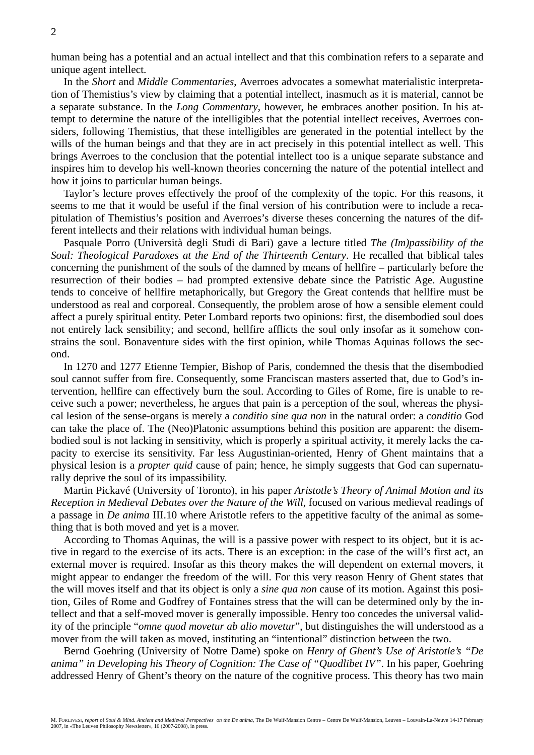human being has a potential and an actual intellect and that this combination refers to a separate and unique agent intellect.

In the *Short* and *Middle Commentaries*, Averroes advocates a somewhat materialistic interpretation of Themistius's view by claiming that a potential intellect, inasmuch as it is material, cannot be a separate substance. In the *Long Commentary*, however, he embraces another position. In his attempt to determine the nature of the intelligibles that the potential intellect receives, Averroes considers, following Themistius, that these intelligibles are generated in the potential intellect by the wills of the human beings and that they are in act precisely in this potential intellect as well. This brings Averroes to the conclusion that the potential intellect too is a unique separate substance and inspires him to develop his well-known theories concerning the nature of the potential intellect and how it joins to particular human beings.

Taylor's lecture proves effectively the proof of the complexity of the topic. For this reasons, it seems to me that it would be useful if the final version of his contribution were to include a recapitulation of Themistius's position and Averroes's diverse theses concerning the natures of the different intellects and their relations with individual human beings.

Pasquale Porro (Università degli Studi di Bari) gave a lecture titled *The (Im)passibility of the Soul: Theological Paradoxes at the End of the Thirteenth Century*. He recalled that biblical tales concerning the punishment of the souls of the damned by means of hellfire – particularly before the resurrection of their bodies – had prompted extensive debate since the Patristic Age. Augustine tends to conceive of hellfire metaphorically, but Gregory the Great contends that hellfire must be understood as real and corporeal. Consequently, the problem arose of how a sensible element could affect a purely spiritual entity. Peter Lombard reports two opinions: first, the disembodied soul does not entirely lack sensibility; and second, hellfire afflicts the soul only insofar as it somehow constrains the soul. Bonaventure sides with the first opinion, while Thomas Aquinas follows the second.

In 1270 and 1277 Etienne Tempier, Bishop of Paris, condemned the thesis that the disembodied soul cannot suffer from fire. Consequently, some Franciscan masters asserted that, due to God's intervention, hellfire can effectively burn the soul. According to Giles of Rome, fire is unable to receive such a power; nevertheless, he argues that pain is a perception of the soul, whereas the physical lesion of the sense-organs is merely a *conditio sine qua non* in the natural order: a *conditio* God can take the place of. The (Neo)Platonic assumptions behind this position are apparent: the disembodied soul is not lacking in sensitivity, which is properly a spiritual activity, it merely lacks the capacity to exercise its sensitivity. Far less Augustinian-oriented, Henry of Ghent maintains that a physical lesion is a *propter quid* cause of pain; hence, he simply suggests that God can supernaturally deprive the soul of its impassibility.

Martin Pickavé (University of Toronto), in his paper *Aristotle's Theory of Animal Motion and its Reception in Medieval Debates over the Nature of the Will*, focused on various medieval readings of a passage in *De anima* III.10 where Aristotle refers to the appetitive faculty of the animal as something that is both moved and yet is a mover.

According to Thomas Aquinas, the will is a passive power with respect to its object, but it is active in regard to the exercise of its acts. There is an exception: in the case of the will's first act, an external mover is required. Insofar as this theory makes the will dependent on external movers, it might appear to endanger the freedom of the will. For this very reason Henry of Ghent states that the will moves itself and that its object is only a *sine qua non* cause of its motion. Against this position, Giles of Rome and Godfrey of Fontaines stress that the will can be determined only by the intellect and that a self-moved mover is generally impossible. Henry too concedes the universal validity of the principle "*omne quod movetur ab alio movetur*", but distinguishes the will understood as a mover from the will taken as moved, instituting an "intentional" distinction between the two.

Bernd Goehring (University of Notre Dame) spoke on *Henry of Ghent's Use of Aristotle's "De anima" in Developing his Theory of Cognition: The Case of "Quodlibet IV"*. In his paper, Goehring addressed Henry of Ghent's theory on the nature of the cognitive process. This theory has two main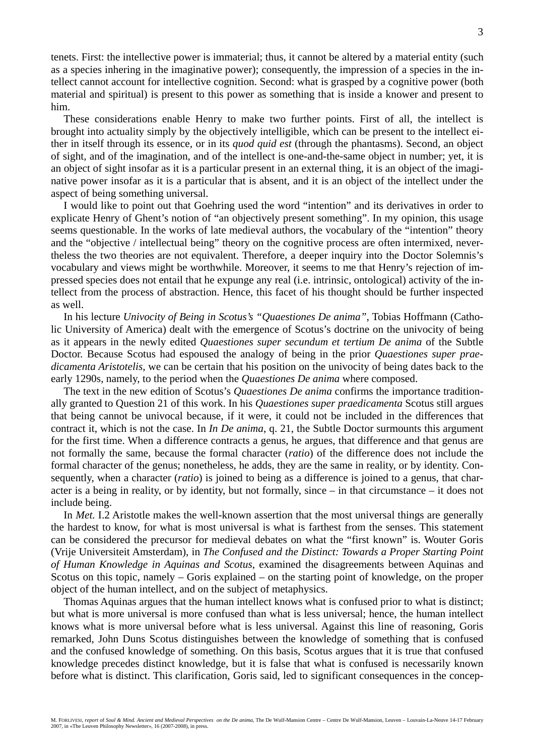tenets. First: the intellective power is immaterial; thus, it cannot be altered by a material entity (such as a species inhering in the imaginative power); consequently, the impression of a species in the intellect cannot account for intellective cognition. Second: what is grasped by a cognitive power (both material and spiritual) is present to this power as something that is inside a knower and present to him.

These considerations enable Henry to make two further points. First of all, the intellect is brought into actuality simply by the objectively intelligible, which can be present to the intellect either in itself through its essence, or in its *quod quid est* (through the phantasms). Second, an object of sight, and of the imagination, and of the intellect is one-and-the-same object in number; yet, it is an object of sight insofar as it is a particular present in an external thing, it is an object of the imaginative power insofar as it is a particular that is absent, and it is an object of the intellect under the aspect of being something universal.

I would like to point out that Goehring used the word "intention" and its derivatives in order to explicate Henry of Ghent's notion of "an objectively present something". In my opinion, this usage seems questionable. In the works of late medieval authors, the vocabulary of the "intention" theory and the "objective / intellectual being" theory on the cognitive process are often intermixed, nevertheless the two theories are not equivalent. Therefore, a deeper inquiry into the Doctor Solemnis's vocabulary and views might be worthwhile. Moreover, it seems to me that Henry's rejection of impressed species does not entail that he expunge any real (i.e. intrinsic, ontological) activity of the intellect from the process of abstraction. Hence, this facet of his thought should be further inspected as well.

In his lecture *Univocity of Being in Scotus's "Quaestiones De anima"*, Tobias Hoffmann (Catholic University of America) dealt with the emergence of Scotus's doctrine on the univocity of being as it appears in the newly edited *Quaestiones super secundum et tertium De anima* of the Subtle Doctor. Because Scotus had espoused the analogy of being in the prior *Quaestiones super praedicamenta Aristotelis*, we can be certain that his position on the univocity of being dates back to the early 1290s, namely, to the period when the *Quaestiones De anima* where composed.

The text in the new edition of Scotus's *Quaestiones De anima* confirms the importance traditionally granted to Question 21 of this work. In his *Quaestiones super praedicamenta* Scotus still argues that being cannot be univocal because, if it were, it could not be included in the differences that contract it, which is not the case. In *In De anima*, q. 21, the Subtle Doctor surmounts this argument for the first time. When a difference contracts a genus, he argues, that difference and that genus are not formally the same, because the formal character (*ratio*) of the difference does not include the formal character of the genus; nonetheless, he adds, they are the same in reality, or by identity. Consequently, when a character (*ratio*) is joined to being as a difference is joined to a genus, that character is a being in reality, or by identity, but not formally, since – in that circumstance – it does not include being.

In *Met.* I.2 Aristotle makes the well-known assertion that the most universal things are generally the hardest to know, for what is most universal is what is farthest from the senses. This statement can be considered the precursor for medieval debates on what the "first known" is. Wouter Goris (Vrije Universiteit Amsterdam), in *The Confused and the Distinct: Towards a Proper Starting Point of Human Knowledge in Aquinas and Scotus*, examined the disagreements between Aquinas and Scotus on this topic, namely – Goris explained – on the starting point of knowledge, on the proper object of the human intellect, and on the subject of metaphysics.

Thomas Aquinas argues that the human intellect knows what is confused prior to what is distinct; but what is more universal is more confused than what is less universal; hence, the human intellect knows what is more universal before what is less universal. Against this line of reasoning, Goris remarked, John Duns Scotus distinguishes between the knowledge of something that is confused and the confused knowledge of something. On this basis, Scotus argues that it is true that confused knowledge precedes distinct knowledge, but it is false that what is confused is necessarily known before what is distinct. This clarification, Goris said, led to significant consequences in the concep-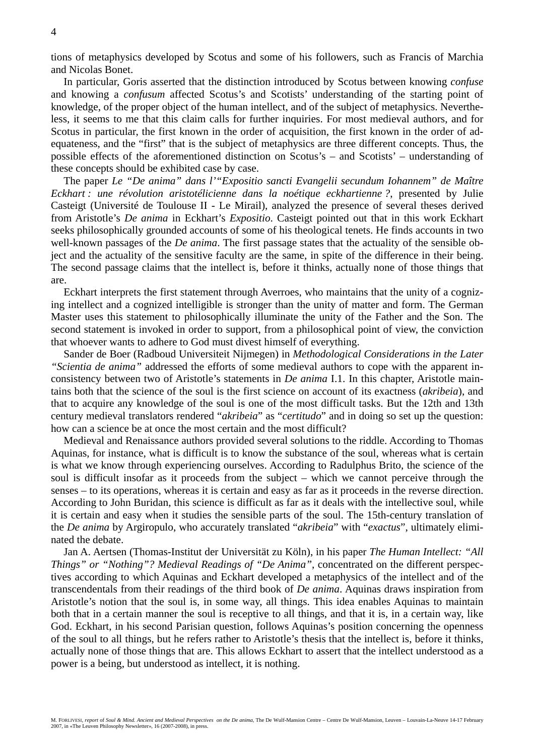tions of metaphysics developed by Scotus and some of his followers, such as Francis of Marchia and Nicolas Bonet.

In particular, Goris asserted that the distinction introduced by Scotus between knowing *confuse* and knowing a *confusum* affected Scotus's and Scotists' understanding of the starting point of knowledge, of the proper object of the human intellect, and of the subject of metaphysics. Nevertheless, it seems to me that this claim calls for further inquiries. For most medieval authors, and for Scotus in particular, the first known in the order of acquisition, the first known in the order of adequateness, and the "first" that is the subject of metaphysics are three different concepts. Thus, the possible effects of the aforementioned distinction on Scotus's – and Scotists' – understanding of these concepts should be exhibited case by case.

The paper *Le "De anima" dans l'"Expositio sancti Evangelii secundum Iohannem" de Maître Eckhart : une révolution aristotélicienne dans la noétique eckhartienne ?*, presented by Julie Casteigt (Université de Toulouse II - Le Mirail), analyzed the presence of several theses derived from Aristotle's *De anima* in Eckhart's *Expositio*. Casteigt pointed out that in this work Eckhart seeks philosophically grounded accounts of some of his theological tenets. He finds accounts in two well-known passages of the *De anima*. The first passage states that the actuality of the sensible object and the actuality of the sensitive faculty are the same, in spite of the difference in their being. The second passage claims that the intellect is, before it thinks, actually none of those things that are.

Eckhart interprets the first statement through Averroes, who maintains that the unity of a cognizing intellect and a cognized intelligible is stronger than the unity of matter and form. The German Master uses this statement to philosophically illuminate the unity of the Father and the Son. The second statement is invoked in order to support, from a philosophical point of view, the conviction that whoever wants to adhere to God must divest himself of everything.

Sander de Boer (Radboud Universiteit Nijmegen) in *Methodological Considerations in the Later "Scientia de anima"* addressed the efforts of some medieval authors to cope with the apparent inconsistency between two of Aristotle's statements in *De anima* I.1. In this chapter, Aristotle maintains both that the science of the soul is the first science on account of its exactness (*akribeia*), and that to acquire any knowledge of the soul is one of the most difficult tasks. But the 12th and 13th century medieval translators rendered "*akribeia*" as "*certitudo*" and in doing so set up the question: how can a science be at once the most certain and the most difficult?

Medieval and Renaissance authors provided several solutions to the riddle. According to Thomas Aquinas, for instance, what is difficult is to know the substance of the soul, whereas what is certain is what we know through experiencing ourselves. According to Radulphus Brito, the science of the soul is difficult insofar as it proceeds from the subject – which we cannot perceive through the senses – to its operations, whereas it is certain and easy as far as it proceeds in the reverse direction. According to John Buridan, this science is difficult as far as it deals with the intellective soul, while it is certain and easy when it studies the sensible parts of the soul. The 15th-century translation of the *De anima* by Argiropulo, who accurately translated "*akribeia*" with "*exactus*", ultimately eliminated the debate.

Jan A. Aertsen (Thomas-Institut der Universität zu Köln), in his paper *The Human Intellect: "All Things" or "Nothing"? Medieval Readings of "De Anima"*, concentrated on the different perspectives according to which Aquinas and Eckhart developed a metaphysics of the intellect and of the transcendentals from their readings of the third book of *De anima*. Aquinas draws inspiration from Aristotle's notion that the soul is, in some way, all things. This idea enables Aquinas to maintain both that in a certain manner the soul is receptive to all things, and that it is, in a certain way, like God. Eckhart, in his second Parisian question, follows Aquinas's position concerning the openness of the soul to all things, but he refers rather to Aristotle's thesis that the intellect is, before it thinks, actually none of those things that are. This allows Eckhart to assert that the intellect understood as a power is a being, but understood as intellect, it is nothing.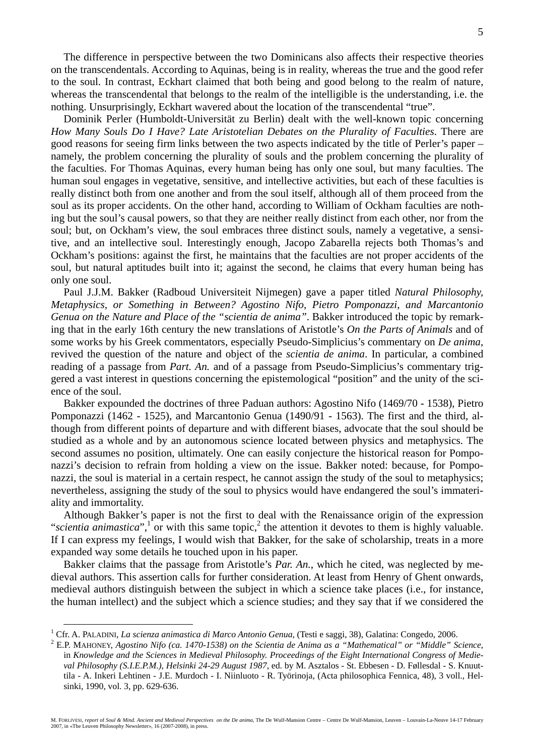The difference in perspective between the two Dominicans also affects their respective theories on the transcendentals. According to Aquinas, being is in reality, whereas the true and the good refer to the soul. In contrast, Eckhart claimed that both being and good belong to the realm of nature, whereas the transcendental that belongs to the realm of the intelligible is the understanding, i.e. the nothing. Unsurprisingly, Eckhart wavered about the location of the transcendental "true".

Dominik Perler (Humboldt-Universität zu Berlin) dealt with the well-known topic concerning *How Many Souls Do I Have? Late Aristotelian Debates on the Plurality of Faculties*. There are good reasons for seeing firm links between the two aspects indicated by the title of Perler's paper – namely, the problem concerning the plurality of souls and the problem concerning the plurality of the faculties. For Thomas Aquinas, every human being has only one soul, but many faculties. The human soul engages in vegetative, sensitive, and intellective activities, but each of these faculties is really distinct both from one another and from the soul itself, although all of them proceed from the soul as its proper accidents. On the other hand, according to William of Ockham faculties are nothing but the soul's causal powers, so that they are neither really distinct from each other, nor from the soul; but, on Ockham's view, the soul embraces three distinct souls, namely a vegetative, a sensitive, and an intellective soul. Interestingly enough, Jacopo Zabarella rejects both Thomas's and Ockham's positions: against the first, he maintains that the faculties are not proper accidents of the soul, but natural aptitudes built into it; against the second, he claims that every human being has only one soul.

Paul J.J.M. Bakker (Radboud Universiteit Nijmegen) gave a paper titled *Natural Philosophy, Metaphysics, or Something in Between? Agostino Nifo, Pietro Pomponazzi, and Marcantonio Genua on the Nature and Place of the "scientia de anima"*. Bakker introduced the topic by remarking that in the early 16th century the new translations of Aristotle's *On the Parts of Animals* and of some works by his Greek commentators, especially Pseudo-Simplicius's commentary on *De anima*, revived the question of the nature and object of the *scientia de anima*. In particular, a combined reading of a passage from *Part. An.* and of a passage from Pseudo-Simplicius's commentary triggered a vast interest in questions concerning the epistemological "position" and the unity of the science of the soul.

Bakker expounded the doctrines of three Paduan authors: Agostino Nifo (1469/70 - 1538), Pietro Pomponazzi (1462 - 1525), and Marcantonio Genua (1490/91 - 1563). The first and the third, although from different points of departure and with different biases, advocate that the soul should be studied as a whole and by an autonomous science located between physics and metaphysics. The second assumes no position, ultimately. One can easily conjecture the historical reason for Pomponazzi's decision to refrain from holding a view on the issue. Bakker noted: because, for Pomponazzi, the soul is material in a certain respect, he cannot assign the study of the soul to metaphysics; nevertheless, assigning the study of the soul to physics would have endangered the soul's immateriality and immortality.

Although Bakker's paper is not the first to deal with the Renaissance origin of the expression "scientia animastica",<sup>1</sup> or with this same topic,<sup>2</sup> the attention it devotes to them is highly valuable. If I can express my feelings, I would wish that Bakker, for the sake of scholarship, treats in a more expanded way some details he touched upon in his paper.

Bakker claims that the passage from Aristotle's *Par. An.*, which he cited, was neglected by medieval authors. This assertion calls for further consideration. At least from Henry of Ghent onwards, medieval authors distinguish between the subject in which a science take places (i.e., for instance, the human intellect) and the subject which a science studies; and they say that if we considered the

 $\frac{1}{1}$ <sup>1</sup> Cfr. A. PALADINI, *La scienza animastica di Marco Antonio Genua*, (Testi e saggi, 38), Galatina: Congedo, 2006.<br><sup>2</sup> E P. MAUONEV, Agostino Nifo (eg. 1470-1528) on the Scientia de Anima as a "Mathematical" on "Middle" S

E.P. MAHONEY, *Agostino Nifo (ca. 1470-1538) on the Scientia de Anima as a "Mathematical" or "Middle" Science*, in *Knowledge and the Sciences in Medieval Philosophy. Proceedings of the Eight International Congress of Medieval Philosophy (S.I.E.P.M.), Helsinki 24-29 August 1987*, ed. by M. Asztalos - St. Ebbesen - D. Føllesdal - S. Knuuttila - A. Inkeri Lehtinen - J.E. Murdoch - I. Niinluoto - R. Työrinoja, (Acta philosophica Fennica, 48), 3 voll., Helsinki, 1990, vol. 3, pp. 629-636.